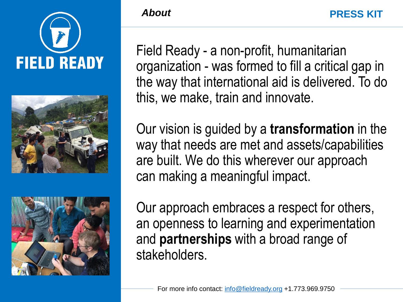



![](_page_0_Picture_2.jpeg)

#### *About*

Field Ready - a non-profit, humanitarian organization - was formed to fill a critical gap in the way that international aid is delivered. To do this, we make, train and innovate.

Our vision is guided by a **transformation** in the way that needs are met and assets/capabilities are built. We do this wherever our approach can making a meaningful impact.

Our approach embraces a respect for others, an openness to learning and experimentation and **partnerships** with a broad range of stakeholders.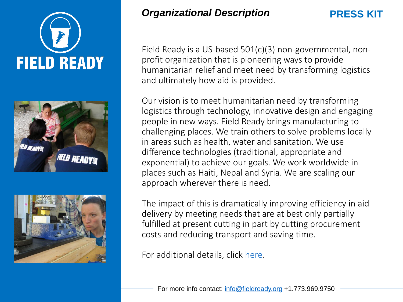![](_page_1_Picture_0.jpeg)

![](_page_1_Picture_1.jpeg)

![](_page_1_Picture_2.jpeg)

**PRESS KIT**

Field Ready is a US-based 501(c)(3) non-governmental, nonprofit organization that is pioneering ways to provide humanitarian relief and meet need by transforming logistics and ultimately how aid is provided.

Our vision is to meet humanitarian need by transforming logistics through technology, innovative design and engaging people in new ways. Field Ready brings manufacturing to challenging places. We train others to solve problems locally in areas such as health, water and sanitation. We use difference technologies (traditional, appropriate and exponential) to achieve our goals. We work worldwide in places such as Haiti, Nepal and Syria. We are scaling our approach wherever there is need.

The impact of this is dramatically improving efficiency in aid delivery by meeting needs that are at best only partially fulfilled at present cutting in part by cutting procurement costs and reducing transport and saving time.

For additional details, click [here](http://media.wix.com/ugd/84d105_93c9803b53b84b2c899fbf73a8db7b32.pdf).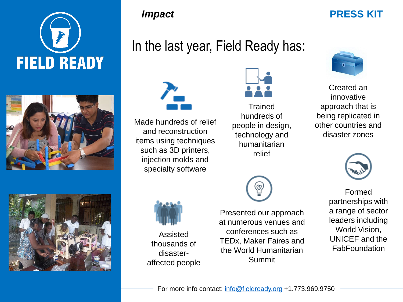![](_page_2_Picture_0.jpeg)

![](_page_2_Picture_1.jpeg)

![](_page_2_Picture_2.jpeg)

### *Impact*

#### **PRESS KIT**

# In the last year, Field Ready has:

![](_page_2_Picture_6.jpeg)

Made hundreds of relief and reconstruction items using techniques such as 3D printers, injection molds and specialty software

![](_page_2_Picture_8.jpeg)

Assisted thousands of disasteraffected people

![](_page_2_Picture_10.jpeg)

**Trained** hundreds of people in design, technology and humanitarian relief

![](_page_2_Picture_12.jpeg)

Presented our approach at numerous venues and conferences such as TEDx, Maker Faires and the World Humanitarian Summit

![](_page_2_Picture_14.jpeg)

Created an innovative approach that is being replicated in other countries and disaster zones

![](_page_2_Picture_16.jpeg)

Formed partnerships with a range of sector leaders including World Vision, UNICEF and the **FabFoundation**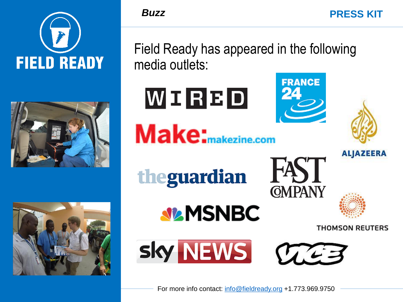![](_page_3_Picture_0.jpeg)

![](_page_3_Picture_1.jpeg)

*Buzz*

Field Ready has appeared in the following media outlets:

**FRANCE** 

FAST

**GMPANY** 

**PRESS KIT**

**ALJAZEERA** 

**THOMSON REUTERS** 

![](_page_3_Picture_4.jpeg)

![](_page_3_Picture_5.jpeg)

WIRBD

![](_page_3_Picture_6.jpeg)

sky NEWS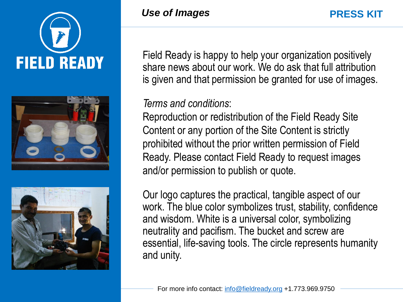![](_page_4_Picture_0.jpeg)

![](_page_4_Picture_1.jpeg)

![](_page_4_Picture_2.jpeg)

Field Ready is happy to help your organization positively share news about our work. We do ask that full attribution is given and that permission be granted for use of images.

## *Terms and conditions*:

Reproduction or redistribution of the Field Ready Site Content or any portion of the Site Content is strictly prohibited without the prior written permission of Field Ready. Please contact Field Ready to request images and/or permission to publish or quote.

Our logo captures the practical, tangible aspect of our work. The blue color symbolizes trust, stability, confidence and wisdom. White is a universal color, symbolizing neutrality and pacifism. The bucket and screw are essential, life-saving tools. The circle represents humanity and unity.